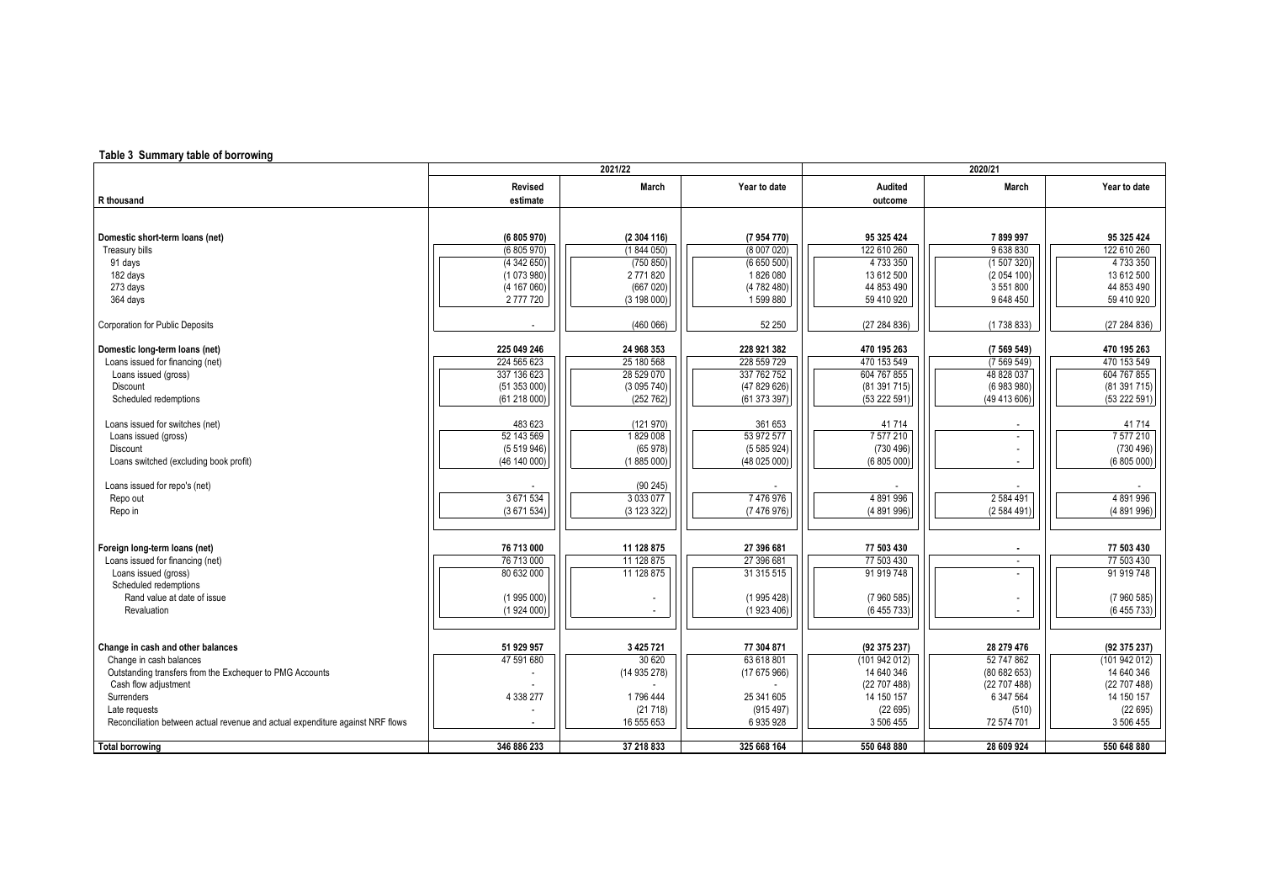## **Table 3 Summary table of borrowing**

|                                                                                | 2021/22                  |               |              | 2020/21        |                          |              |  |
|--------------------------------------------------------------------------------|--------------------------|---------------|--------------|----------------|--------------------------|--------------|--|
|                                                                                | Revised                  | <b>March</b>  | Year to date | <b>Audited</b> | March                    | Year to date |  |
| R thousand                                                                     | estimate                 |               |              | outcome        |                          |              |  |
|                                                                                |                          |               |              |                |                          |              |  |
|                                                                                |                          |               |              |                |                          |              |  |
| Domestic short-term loans (net)                                                | (6 805 970)              | (2304116)     | (7 954 770)  | 95 325 424     | 7899997                  | 95 325 424   |  |
| Treasury bills                                                                 | (6805970)                | (1844050)     | (8007020)    | 122 610 260    | 9638830                  | 122 610 260  |  |
| 91 days                                                                        | (4342650)                | (750 850)     | (6650500)    | 4 733 350      | (1507320)                | 4 733 350    |  |
| 182 days                                                                       | (1073980)                | 2771820       | 1826 080     | 13 612 500     | (2 054 100)              | 13 612 500   |  |
| 273 days                                                                       | (4 167 060)              | (667020)      | (4 782 480)  | 44 853 490     | 3 551 800                | 44 853 490   |  |
|                                                                                |                          |               |              |                |                          |              |  |
| 364 days                                                                       | 2777720                  | (3 198 000)   | 1599880      | 59 410 920     | 9 648 450                | 59 410 920   |  |
| <b>Corporation for Public Deposits</b>                                         |                          | (460066)      | 52 250       | (27 284 836)   | (1738833)                | (27284836)   |  |
|                                                                                |                          |               |              |                |                          |              |  |
| Domestic long-term loans (net)                                                 | 225 049 246              | 24 968 353    | 228 921 382  | 470 195 263    | (7569549)                | 470 195 263  |  |
| Loans issued for financing (net)                                               | 224 565 623              | 25 180 568    | 228 559 729  | 470 153 549    | (7569549)                | 470 153 549  |  |
| Loans issued (gross)                                                           | 337 136 623              | 28 529 070    | 337 762 752  | 604 767 855    | 48 828 037               | 604 767 855  |  |
| Discount                                                                       | (51353000)               | (3095740)     | (47829626)   | (81391715)     | (6 983 980)              | (81 391 715) |  |
| Scheduled redemptions                                                          | (61218000)               | (252 762)     | (61 373 397) | (53 222 591)   | (49 413 606)             | (53 222 591) |  |
|                                                                                |                          |               |              |                |                          |              |  |
| Loans issued for switches (net)                                                | 483 623                  | (121970)      | 361 653      | 41714          |                          | 41714        |  |
| Loans issued (gross)                                                           | 52 143 569               | 1829008       | 53 972 577   | 7 577 210      | $\overline{\phantom{a}}$ | 7 577 210    |  |
| Discount                                                                       | (5519946)                | (65978)       | (5585924)    | (730 496)      |                          | (730 496)    |  |
| Loans switched (excluding book profit)                                         | (46 140 000)             | (1885000)     | (48 025 000) | (6 805 000)    |                          | (6805000)    |  |
|                                                                                |                          |               |              |                |                          |              |  |
| Loans issued for repo's (net)                                                  |                          | (90245)       |              |                |                          |              |  |
| Repo out                                                                       | 3 671 534                | 3 0 3 0 7 7   | 7476976      | 4891996        | 2 584 491                | 4891996      |  |
| Repo in                                                                        | (3671534)                | (3 123 322)   | (7476976)    | (4 891 996)    | (2 584 491)              | (4891996)    |  |
|                                                                                |                          |               |              |                |                          |              |  |
|                                                                                |                          |               |              |                |                          |              |  |
| Foreign long-term loans (net)                                                  | 76 713 000               | 11 128 875    | 27 396 681   | 77 503 430     |                          | 77 503 430   |  |
| Loans issued for financing (net)                                               | 76 713 000               | 11 128 875    | 27 396 681   | 77 503 430     | $\sim$                   | 77 503 430   |  |
| Loans issued (gross)                                                           | 80 632 000               | 11 128 875    | 31 315 515   | 91 919 748     | $\overline{\phantom{a}}$ | 91 919 748   |  |
| Scheduled redemptions                                                          |                          |               |              |                |                          |              |  |
| Rand value at date of issue                                                    | (1995000)                |               | (1995428)    | (7960585)      |                          | (7960585)    |  |
| Revaluation                                                                    | (1924000)                |               | (1923406)    | (6 455 733)    |                          | (6455733)    |  |
|                                                                                |                          |               |              |                |                          |              |  |
| Change in cash and other balances                                              |                          | 3 4 2 5 7 2 1 | 77 304 871   | (92 375 237)   | 28 279 476               | (92 375 237) |  |
| Change in cash balances                                                        | 51 929 957<br>47 591 680 | 30 620        | 63 618 801   | (101 942 012)  | 52 747 862               | (101942012)  |  |
|                                                                                |                          |               |              | 14 640 346     |                          | 14 640 346   |  |
| Outstanding transfers from the Exchequer to PMG Accounts                       |                          | (14935278)    | (17675966)   |                | (80 682 653)             |              |  |
| Cash flow adjustment                                                           |                          |               |              | (22707488)     | (22 707 488)             | (22707488)   |  |
| Surrenders                                                                     | 4 338 277                | 1796 444      | 25 341 605   | 14 150 157     | 6 347 564                | 14 150 157   |  |
| Late requests                                                                  |                          | (21718)       | (915 497)    | (22695)        | (510)                    | (22695)      |  |
| Reconciliation between actual revenue and actual expenditure against NRF flows |                          | 16 555 653    | 6 935 928    | 3 506 455      | 72 574 701               | 3 506 455    |  |
| <b>Total borrowing</b>                                                         | 346 886 233              | 37 218 833    | 325 668 164  | 550 648 880    | 28 609 924               | 550 648 880  |  |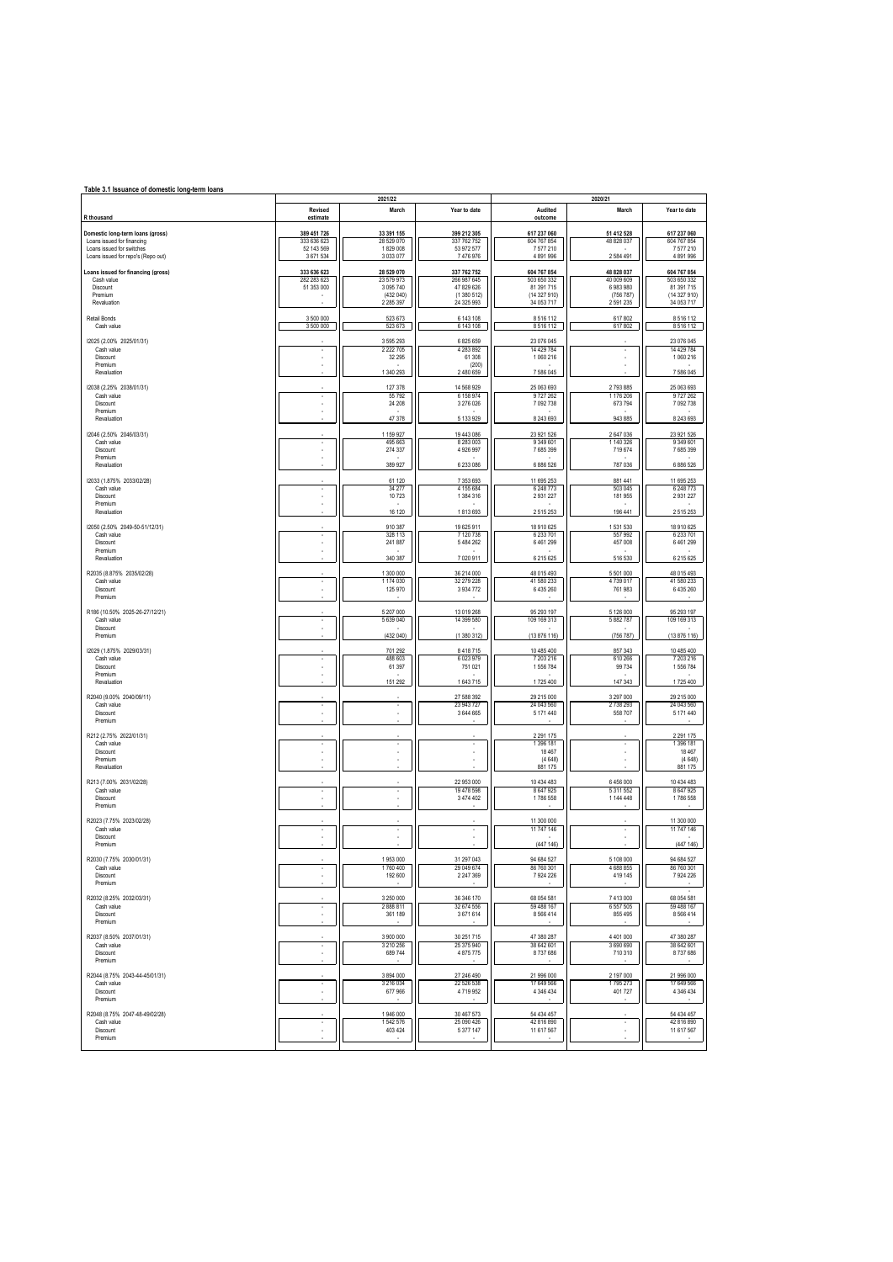| Table 3.1 Issuance of domestic long-term loans                 |                            |                          |                            |                            |                            |                            |  |  |
|----------------------------------------------------------------|----------------------------|--------------------------|----------------------------|----------------------------|----------------------------|----------------------------|--|--|
|                                                                | Revised                    | 2021/22<br>March         | Year to date               | Audited                    | 2020/21<br>March           | Year to date               |  |  |
| R thousand                                                     | estimate                   |                          |                            | outcome                    |                            |                            |  |  |
| Domestic long-term loans (gross)<br>Loans issued for financing | 389 451 726<br>333 636 623 | 33 391 155<br>28 529 070 | 399 212 305<br>337 762 752 | 617 237 060<br>604 767 854 | 51 412 528<br>48 828 037   | 617 237 060<br>604 767 854 |  |  |
| Loans issued for switches                                      | 52 143 569                 | 1829 008                 | 53 972 577                 | 7577210                    |                            | 7577210                    |  |  |
| Loans issued for repo's (Repo out)                             | 3 671 534                  | 3 033 077                | 7476976                    | 4 891 996                  | 2 5 8 4 4 9 1              | 4 891 996                  |  |  |
| Loans issued for financing (gross)<br>Cash value               | 333 636 623<br>282 283 623 | 28 529 070<br>23 579 973 | 337 762 752<br>266 987 645 | 604 767 854<br>503 650 332 | 48 828 037<br>40 009 609   | 604 767 854<br>503 650 332 |  |  |
| Discount<br>Premium                                            | 51 353 000<br>٠            | 3 095 740<br>(432 040)   | 47 829 626<br>(1 380 512)  | 81 391 715<br>(14 327 910) | 6 983 980<br>(756 787)     | 81 391 715<br>(14 327 910) |  |  |
| Revaluation                                                    |                            | 2 2 8 5 3 9 7            | 24 325 993                 | 34 053 717                 | 2 591 235                  | 34 053 717                 |  |  |
| Retail Bonds                                                   | 3 500 000                  | 523 673                  | 6 143 108                  | 8516112                    | 617802                     | 8516112                    |  |  |
| Cash value                                                     | 3 500 000                  | 523 673                  | 6 143 108                  | 8 5 1 6 1 1 2              | 617 802                    | 8516112                    |  |  |
| 12025 (2.00% 2025/01/31)<br>Cash value                         |                            | 3 595 293<br>2 2 2 7 0 5 | 6 825 659<br>4 283 892     | 23 076 045<br>14 429 784   |                            | 23 076 045<br>14 429 784   |  |  |
| Discount<br>Premium                                            |                            | 32 295                   | 61 30 8<br>(200)           | 1 060 216                  |                            | 1 060 216                  |  |  |
| Revaluation                                                    |                            | 1 340 293                | 2 480 659                  | 7 586 045                  |                            | 7 586 045                  |  |  |
| 12038 (2.25% 2038/01/31)                                       |                            | 127 378                  | 14 568 929                 | 25 063 693                 | 2 793 885                  | 25 063 693                 |  |  |
| Cash value<br>Discount                                         | ٠                          | 55 7 9 2<br>24 208       | 6 158 974<br>3 276 026     | 9727262<br>7 092 738       | 1 176 206<br>673 794       | 9727262<br>7 092 738       |  |  |
| Premium<br>Revaluation                                         |                            | 47 378                   | 5 133 929                  | 8 243 693                  | 943 885                    | 8 243 693                  |  |  |
| 12046 (2.50% 2046/03/31)                                       |                            | 1 159 927                | 19 443 086                 | 23 921 526                 | 2 647 036                  | 23 921 526                 |  |  |
| Cash value                                                     | ×.                         | 495 663                  | 8 283 003                  | 9 349 601                  | 1 140 326                  | 9 349 601                  |  |  |
| Discount<br>Premium                                            | ä,                         | 274 337                  | 4 926 997                  | 7 685 399                  | 719 674                    | 7685399                    |  |  |
| Revaluation                                                    |                            | 389 927                  | 6 233 086                  | 6 886 526                  | 787 036                    | 6 886 526                  |  |  |
| 12033 (1.875% 2033/02/28)<br>Cash value                        | ×                          | 61 120<br>34 277         | 7 353 693<br>4 155 684     | 11 695 253<br>6 248 773    | 881 441<br>503 045         | 11 695 253<br>6 248 773    |  |  |
| Discount<br>Premium                                            |                            | 10723                    | 1 384 316                  | 2931227                    | 181 955                    | 2 9 3 1 2 2 7              |  |  |
| Revaluation                                                    |                            | 16 120                   | 1813693                    | 2515253                    | 196 441                    | 2515253                    |  |  |
| 12050 (2.50% 2049-50-51/12/31)                                 |                            | 910 387                  | 19 625 911                 | 18 910 625                 | 1531530                    | 18 910 625                 |  |  |
| Cash value<br>Discount                                         | ä,                         | 328 113<br>241 887       | 7 120 738<br>5 484 262     | 6 233 701<br>6461299       | 557 992<br>457 008         | 6 233 701<br>6 4 6 1 2 9 9 |  |  |
| Premium<br>Revaluation                                         |                            | 340 387                  | 7 020 911                  | 6 215 6 25                 | 516 530                    | 6 215 6 25                 |  |  |
| R2035 (8.875% 2035/02/28)                                      |                            | 1 300 000                | 36 214 000                 | 48 015 493                 | 5 501 000                  | 48 015 493                 |  |  |
| Cash value                                                     |                            | 1 174 030                | 32 279 228                 | 41 580 233                 | 4739017                    | 41 580 233                 |  |  |
| Discount<br>Premium                                            |                            | 125 970                  | 3 9 3 4 7 7 2              | 6 435 260                  | 761 983                    | 6 435 260                  |  |  |
| R186 (10.50% 2025-26-27/12/21)                                 |                            | 5 207 000                | 13 019 268                 | 95 293 197                 | 5 126 000                  | 95 293 197                 |  |  |
| Cash value<br>Discount                                         | ä,                         | 5 639 040                | 14 399 580                 | 109 169 313                | 5 882 787                  | 109 169 313                |  |  |
| Premium                                                        |                            | (432040)                 | (1380312)                  | (13 876 116)               | (756 787)                  | (13 876 116)               |  |  |
| 12029 (1.875% 2029/03/31)                                      |                            | 701 292                  | 8 4 18 7 15                | 10 485 400                 | 857 343                    | 10 485 400                 |  |  |
| Cash value<br>Discount                                         | ٠                          | 488 603<br>61 397        | 6 023 979<br>751 021       | 7 203 216<br>1556784       | 610 266<br>99 734          | 7 203 216<br>1556784       |  |  |
| Premium<br>Revaluation                                         |                            | 151 292                  | 1643715                    | 1725 400                   | 147 343                    | 1725 400                   |  |  |
| R2040 (9.00% 2040/09/11)                                       |                            |                          | 27 588 392                 | 29 215 000                 | 3 297 000                  | 29 215 000                 |  |  |
| Cash value<br>Discount                                         |                            | $\cdot$                  | 23 943 727<br>3 644 665    | 24 043 560<br>5 171 440    | 2738 293<br>558 707        | 24 043 560<br>5 171 440    |  |  |
| Premium                                                        |                            |                          |                            |                            |                            |                            |  |  |
| R212 (2.75% 2022/01/31)                                        |                            |                          |                            | 2 2 9 1 1 7 5              |                            | 2 2 9 1 1 7 5              |  |  |
| Cash value<br>Discount                                         |                            | $\overline{\phantom{a}}$ | i.                         | 1 396 181<br>18 4 67       |                            | 1 396 181<br>18 467        |  |  |
| Premium<br>Revaluation                                         |                            |                          |                            | (4648)<br>881 175          |                            | (4648)<br>881 175          |  |  |
| R213 (7.00% 2031/02/28)                                        |                            |                          | 22 953 000                 | 10 434 483                 | 6 456 000                  | 10 434 483                 |  |  |
| Cash value                                                     |                            |                          | 19 478 598<br>3 474 402    | 8 647 925                  | 5 311 552                  | 8 647 925                  |  |  |
| Discount<br>Premium                                            |                            |                          |                            | 1786 558                   | 1 144 448                  | 1786 558                   |  |  |
| R2023 (7.75% 2023/02/28)                                       |                            |                          |                            | 11 300 000                 |                            | 11 300 000                 |  |  |
| Cash value<br>Discount                                         | ٠                          | $\sim$                   | $\sim$                     | 11 747 146                 | ÷.                         | 11 747 146                 |  |  |
| Premium                                                        |                            |                          |                            | (447 146)                  |                            | (447 146)                  |  |  |
| R2030 (7.75% 2030/01/31)<br>Cash value                         |                            | 1953000<br>1760 400      | 31 297 043<br>29 049 674   | 94 684 527<br>86 760 301   | 5 108 000<br>4688855       | 94 684 527<br>86 760 301   |  |  |
| Discount<br>Premium                                            |                            | 192 600                  | 2 247 369                  | 7924226                    | 419 145                    | 7 924 226                  |  |  |
|                                                                |                            |                          |                            |                            |                            |                            |  |  |
| R2032 (8.25% 2032/03/31)<br>Cash value                         | ٠                          | 3 250 000<br>2888811     | 36 346 170<br>32 674 556   | 68 054 581<br>59 488 167   | 7 413 000<br>6 5 5 7 5 0 5 | 68 054 581<br>59 488 167   |  |  |
| Discount<br>Premium                                            |                            | 361 189                  | 3671614                    | 8 5 6 6 4 1 4              | 855 495                    | 8 5 6 4 1 4                |  |  |
| R2037 (8.50% 2037/01/31)                                       |                            | 3 900 000                | 30 251 715                 | 47 380 287                 | 4 401 000                  | 47 380 287                 |  |  |
| Cash value                                                     | ٠                          | 3 210 256                | 25 375 940                 | 38 642 601                 | 3 690 690                  | 38 642 601                 |  |  |
| Discount<br>Premium                                            |                            | 689 744                  | 4 875 775                  | 8737686                    | 710 310                    | 8737686                    |  |  |
| R2044 (8.75% 2043-44-45/01/31)                                 |                            | 3 894 000                | 27 246 490                 | 21 996 000                 | 2 197 000                  | 21 996 000                 |  |  |
| Cash value<br>Discount                                         |                            | 3 216 034<br>677 966     | 22 526 538<br>4719952      | 17 649 566<br>4 346 434    | 1795 273<br>401 727        | 17 649 566<br>4 346 434    |  |  |
| Premium                                                        |                            |                          |                            |                            |                            |                            |  |  |
| R2048 (8.75% 2047-48-49/02/28)                                 |                            | 1946 000                 | 30 467 573                 | 54 434 457                 |                            | 54 434 457                 |  |  |
| Cash value<br>Discount                                         |                            | 1542576<br>403 424       | 25 090 426<br>5 377 147    | 42 816 890<br>11 617 567   |                            | 42 816 890<br>11 617 567   |  |  |
| Premium                                                        |                            |                          |                            |                            |                            |                            |  |  |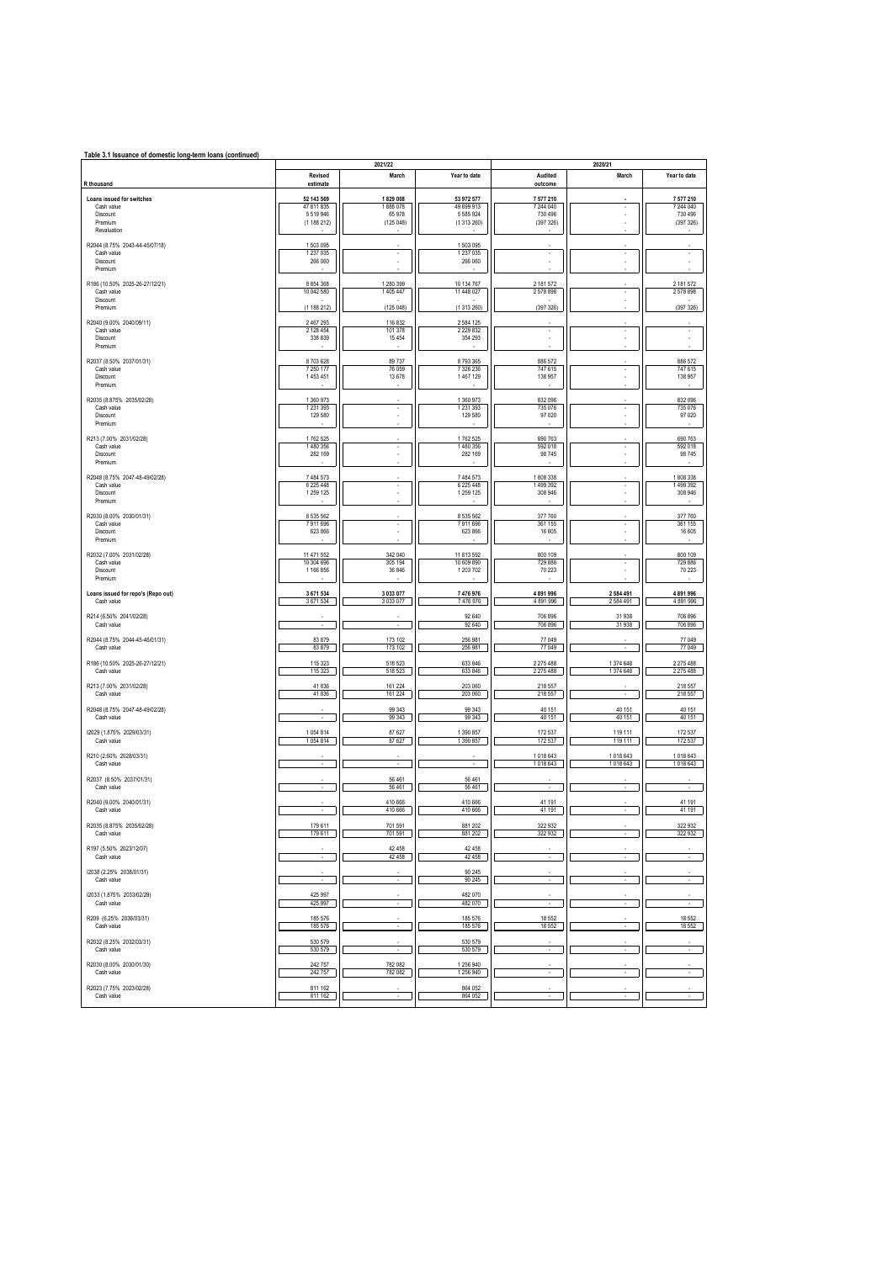| Table 3.1 Issuance of domestic long-term loans (continued)<br>2021/22<br>2020/21 |                                                  |                                           |                                                        |                                                |                        |                                                |  |  |
|----------------------------------------------------------------------------------|--------------------------------------------------|-------------------------------------------|--------------------------------------------------------|------------------------------------------------|------------------------|------------------------------------------------|--|--|
| R thousand                                                                       | Revised<br>estimate                              | March                                     | Year to date                                           | Audited<br>outcome                             | March                  | Year to date                                   |  |  |
| Loans issued for switches<br>Cash value<br>Discount<br>Premium<br>Revaluation    | 52 143 569<br>47 811 835<br>5519946<br>(1188212) | 1829 008<br>1888078<br>65 978<br>(125048) | 53 972 577<br>49 699 913<br>5 5 8 5 9 2 4<br>(1313260) | 7 577 210<br>7 244 040<br>730 496<br>(397 326) |                        | 7 577 210<br>7 244 040<br>730 496<br>(397 326) |  |  |
| R2044 (8.75% 2043-44-45/07/18)<br>Cash value<br>Discount<br>Premium              | 1503095<br>1 237 0 35<br>266 060                 | ٠                                         | 1 503 095<br>1 237 0 35<br>266 060                     | ٠<br>ä,                                        | ٠                      |                                                |  |  |
| R186 (10.50% 2025-26-27/12/21)<br>Cash value<br>Discount<br>Premium              | 8 8 5 4 3 6 8<br>10 042 580<br>(1188212)         | 1 280 399<br>1 405 447<br>(125048)        | 10 134 767<br>11 448 027<br>(1313260)                  | 2 181 572<br>2578898<br>(397326)               |                        | 2 181 572<br>2578898<br>(397 326)              |  |  |
| R2040 (9.00% 2040/09/11)<br>Cash value<br>Discount<br>Premium                    | 2 467 293<br>2 128 454<br>338 839                | 116 832<br>101 378<br>15 4 5 4            | 2 584 125<br>2 2 2 9 8 3 2<br>354 293                  | ٠<br>i.                                        | ٠                      | $\cdot$<br>i,                                  |  |  |
| R2037 (8.50% 2037/01/31)<br>Cash value<br>Discount<br>Premium                    | 8703628<br>7 250 177<br>1453451                  | 89737<br>76 059<br>13 678                 | 8793365<br>7 326 236<br>1467129                        | 886 572<br>747 615<br>138 957                  | ٠                      | 886 572<br>747 615<br>138 957                  |  |  |
| R2035 (8.875% 2035/02/28)<br>Cash value<br>Discount<br>Premium                   | 1 360 973<br>1 2 3 1 3 9 3<br>129 580            | ٠                                         | 1 360 973<br>1 2 3 1 3 9 3<br>129 580                  | 832 096<br>735 076<br>97 0 20                  | $\mathbf{r}$           | 832 096<br>735 076<br>97 0 20                  |  |  |
| R213 (7.00% 2031/02/28)<br>Cash value<br>Discount<br>Premium                     | 1762 525<br>1480 356<br>282 169                  | $\cdot$<br>٠                              | 1762 525<br>1480 356<br>282 169                        | 690 763<br>592 018<br>98 745                   |                        | 690 763<br>592 018<br>98 745                   |  |  |
| R2048 (8.75% 2047-48-49/02/28)<br>Cash value<br>Discount<br>Premium              | 7 484 573<br>6 225 448<br>1 259 1 25             | $\cdot$                                   | 7 484 573<br>6 225 448<br>1 259 1 25                   | 1808338<br>1499 392<br>308 946                 | ٠                      | 1808338<br>1499392<br>308 946                  |  |  |
| R2030 (8.00% 2030/01/31)<br>Cash value<br>Discount<br>Premium                    | 8 535 562<br>7911696<br>623 866                  | ٠                                         | 8 5 3 5 5 6 2<br>7911696<br>623 866                    | 377 760<br>361 155<br>16 605                   | ٠                      | 377 760<br>361 155<br>16 605                   |  |  |
| R2032 (7.00% 2031/02/28)<br>Cash value<br>Discount<br>Premium                    | 11 471 552<br>10 304 696<br>1 166 856            | 342 040<br>305 194<br>36 846              | 11 813 592<br>10 609 890<br>1 203 702                  | 800 109<br>729 886<br>70 223                   |                        | 800 109<br>729 886<br>70 223                   |  |  |
| Loans issued for repo's (Repo out)<br>Cash value                                 | 3 671 534<br>3671534                             | 3 033 077<br>3 033 077                    | 7 476 976<br>7476976                                   | 4 891 996<br>4 891 996                         | 2 584 491<br>2 584 491 | 4 891 996<br>4 891 996                         |  |  |
| R214 (6.50% 2041/02/28)<br>Cash value                                            |                                                  |                                           | 92 640<br>92 640                                       | 706 896<br>706 896                             | 31938<br>31938         | 706 896<br>706 896                             |  |  |
| R2044 (8.75% 2044-45-46/01/31)<br>Cash value                                     | 83 879<br>83 879                                 | 173 102<br>173 102                        | 256 981<br>256 981                                     | 77 049<br>77 049                               | ÷.                     | 77 049<br>77049                                |  |  |
| R186 (10.50% 2025-26-27/12/21)<br>Cash value                                     | 115 323<br>115 323                               | 518 523<br>518 523                        | 633 846<br>633 846                                     | 2 275 488<br>2 275 488                         | 1 374 648<br>1 374 648 | 2 275 488<br>2 275 488                         |  |  |
| R213 (7.00% 2031/02/28)<br>Cash value                                            | 41 836<br>41 836                                 | 161 224<br>161 224                        | 203 060<br>203 060                                     | 218 557<br>218 557                             |                        | 218 557<br>218 557                             |  |  |
| R2048 (8.75% 2047-48-49/02/28)<br>Cash value                                     | ٠                                                | 99 34 3<br>99 34 3                        | 99 34 3<br>99 34 3                                     | 40 151<br>40 151                               | 40 151<br>40 151       | 40 151<br>40 151                               |  |  |
| 12029 (1.875% 2029/03/31)<br>Cash value                                          | 1054814<br>1054814                               | 87 627<br>87 627                          | 1 390 857<br>1 390 857                                 | 172 537<br>172 537                             | 119 111<br>119 111     | 172 537<br>172 537                             |  |  |
| R210 (2.60% 2028/03/31)<br>Cash value                                            |                                                  |                                           |                                                        | 1018643<br>1018 643                            | 1018 643<br>1018 643   | 1018 643<br>1018 643                           |  |  |
| R2037 (8.50% 2037/01/31)<br>Cash value                                           |                                                  | 56 4 61<br>56 4 61                        | 56 461<br>56 461                                       |                                                |                        |                                                |  |  |
| R2040 (9.00% 2040/01/31)<br>Cash value                                           |                                                  | 410 666<br>410 666                        | 410 666<br>410 666                                     | 41 191<br>41 191                               |                        | 41 191<br>41 191                               |  |  |
| R2035 (8.875% 2035/02/28)<br>Cash value                                          | 179 611<br>179611                                | 701 591<br>701 591                        | 881 202<br>881 202                                     | 322 932<br>322 932                             |                        | 322 932<br>322 932                             |  |  |
| R197 (5.50% 2023/12/07)<br>Cash value                                            | ٠                                                | 42 4 5 8<br>42 45 8                       | 42 458<br>42 45 8                                      | ٠                                              | ٠                      | ٠                                              |  |  |
| 12038 (2.25% 2038/01/31)<br>Cash value                                           | $\sim$                                           | $\sim$                                    | 90 245<br>90 245                                       | $\sim$                                         | $\sim$                 | $\sim$                                         |  |  |
| 12033 (1.875% 2033/02/28)<br>Cash value                                          | 425 997<br>425 997                               | $\cdot$                                   | 482 070<br>482 070                                     |                                                | ٠                      | $\cdot$                                        |  |  |
| R209 (6.25% 2036/03/31)<br>Cash value                                            | 185 576<br>185 576                               | ٠                                         | 185 576<br>185 576                                     | 18 552<br>18 5 52                              | ٠                      | 18 552<br>18 5 52                              |  |  |
| R2032 (8.25% 2032/03/31)<br>Cash value                                           | 530 579<br>530 579                               | $\sim$                                    | 530 579<br>530 579                                     | $\overline{\phantom{a}}$                       | $\mathbf{r}$           |                                                |  |  |
| R2030 (8.00% 2030/01/30)<br>Cash value                                           | 242 757<br>242757                                | 782 082<br>782 082                        | 1 256 940<br>1 256 940                                 |                                                |                        | ×.                                             |  |  |
| R2023 (7.75% 2023/02/28)<br>Cash value                                           | 811 162<br>811 162                               | $\cdot$                                   | 864 052<br>864 052                                     | $\cdot$                                        | ٠                      | ٠                                              |  |  |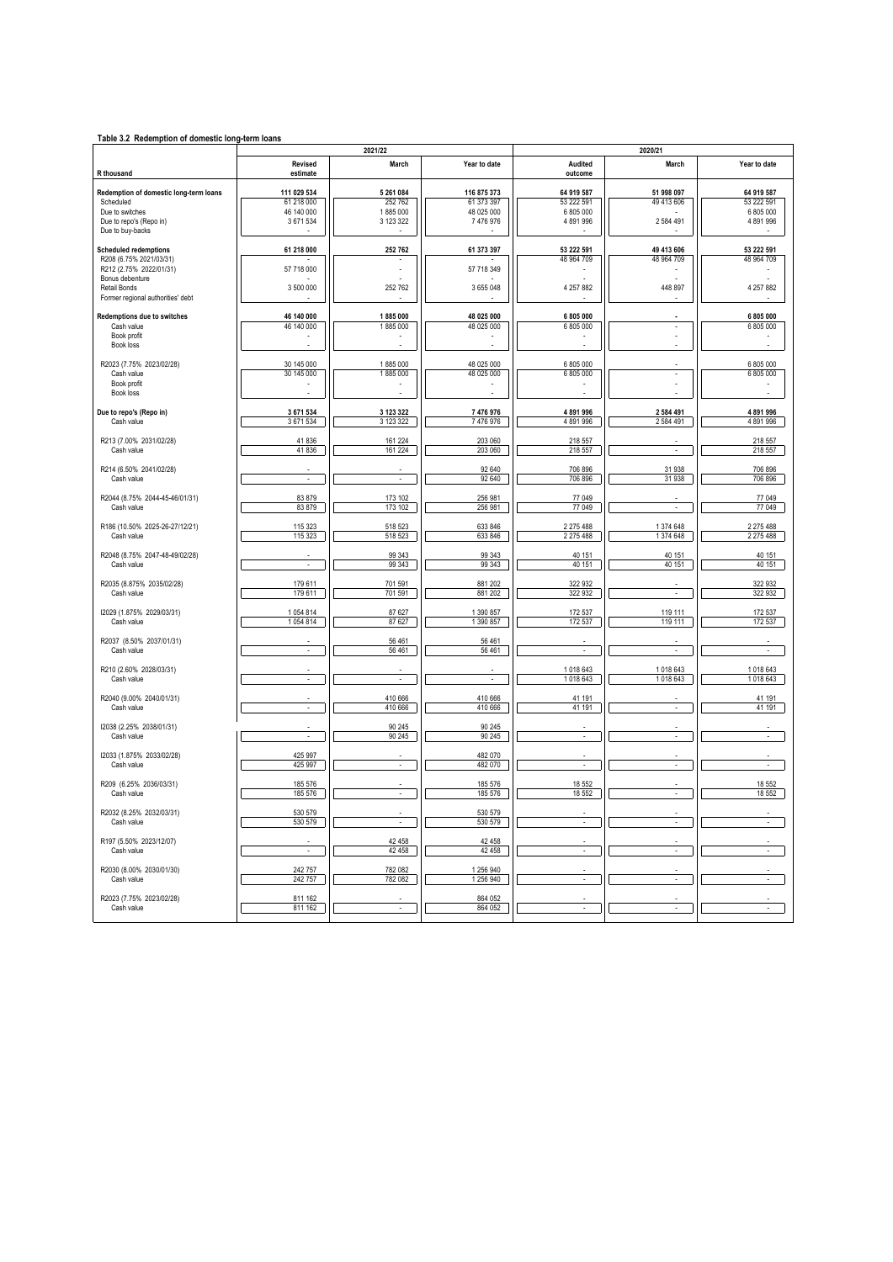| Table 3.2 Redemption of domestic long-term loans |                             |                          |                        |                          |                          |                        |  |  |
|--------------------------------------------------|-----------------------------|--------------------------|------------------------|--------------------------|--------------------------|------------------------|--|--|
|                                                  |                             | 2021/22                  |                        | 2020/21                  |                          |                        |  |  |
| R thousand                                       | Revised<br>estimate         | March                    | Year to date           | Audited<br>outcome       | March                    | Year to date           |  |  |
| Redemption of domestic long-term loans           | 111 029 534                 | 5 261 084                | 116 875 373            | 64 919 587               | 51 998 097               | 64 919 587             |  |  |
| Scheduled                                        | 61 218 000                  | 252 762                  | 61 373 397             | 53 222 591               | 49 413 606               | 53 222 591             |  |  |
| Due to switches                                  | 46 140 000                  | 1885 000                 | 48 025 000             | 6 805 000                |                          | 6 805 000              |  |  |
| Due to repo's (Repo in)                          | 3 671 534                   | 3 123 322                | 7 476 976              | 4891996                  | 2584491                  | 4 891 996              |  |  |
| Due to buy-backs                                 |                             |                          |                        |                          |                          |                        |  |  |
| <b>Scheduled redemptions</b>                     | 61 218 000                  | 252 762                  | 61 373 397             | 53 222 591               | 49 413 606               | 53 222 591             |  |  |
| R208 (6.75% 2021/03/31)                          |                             |                          |                        | 48 964 709               | 48 964 709               | 48 964 709             |  |  |
| R212 (2.75% 2022/01/31)                          | 57 718 000                  |                          | 57 718 349             |                          |                          |                        |  |  |
| Bonus debenture                                  |                             |                          |                        |                          |                          |                        |  |  |
| Retail Bonds                                     | 3 500 000                   | 252 762                  | 3 655 048              | 4 257 882                | 448 897                  | 4 257 882              |  |  |
| Former regional authorities' debt                |                             |                          |                        |                          |                          |                        |  |  |
| Redemptions due to switches                      | 46 140 000                  | 1885 000                 | 48 025 000             | 6 805 000                |                          | 6 805 000              |  |  |
| Cash value                                       | 46 140 000                  | 1885000                  | 48 025 000             | 6 805 000                | ÷,                       | 6 805 000              |  |  |
| Book profit                                      |                             |                          |                        |                          |                          |                        |  |  |
| Book loss                                        |                             |                          |                        |                          |                          |                        |  |  |
| R2023 (7.75% 2023/02/28)                         | 30 145 000                  | 1885 000                 | 48 025 000             | 6 805 000                |                          | 6 805 000              |  |  |
| Cash value                                       | 30 145 000                  | 1885 000                 | 48 025 000             | 6 805 000                |                          | 6 805 000              |  |  |
| Book profit                                      |                             |                          |                        |                          |                          |                        |  |  |
| Book loss                                        |                             |                          |                        |                          |                          |                        |  |  |
|                                                  |                             |                          |                        |                          |                          |                        |  |  |
| Due to repo's (Repo in)<br>Cash value            | 3 671 534<br>3 671 534      | 3 123 322<br>3 123 322   | 7 476 976<br>7 476 976 | 4891996<br>4891996       | 2 584 491<br>2584491     | 4 891 996<br>4 891 996 |  |  |
|                                                  |                             |                          |                        |                          |                          |                        |  |  |
| R213 (7.00% 2031/02/28)                          | 41836                       | 161 224                  | 203 060                | 218 557                  |                          | 218 557                |  |  |
| Cash value                                       | 41836                       | 161 224                  | 203 060                | 218 557                  | ÷,                       | 218 557                |  |  |
| R214 (6.50% 2041/02/28)                          |                             |                          | 92 640                 | 706 896                  | 31 938                   | 706 896                |  |  |
| Cash value                                       | $\sim$                      | $\sim$                   | 92 640                 | 706 896                  | 31 938                   | 706 896                |  |  |
|                                                  |                             |                          |                        |                          |                          |                        |  |  |
| R2044 (8.75% 2044-45-46/01/31)                   | 83879                       | 173 102                  | 256 981                | 77 049                   |                          | 77 049                 |  |  |
| Cash value                                       | 83879                       | 173 102                  | 256 981                | 77 049                   | ÷,                       | 77 049                 |  |  |
| R186 (10.50% 2025-26-27/12/21)                   | 115 323                     | 518 523                  | 633 846                | 2 2 7 5 4 8 8            | 1374648                  | 2 275 488              |  |  |
| Cash value                                       | 115 323                     | 518 523                  | 633 846                | 2 275 488                | 1374648                  | 2 275 488              |  |  |
|                                                  |                             |                          |                        |                          |                          |                        |  |  |
| R2048 (8.75% 2047-48-49/02/28)                   |                             | 99 34 3                  | 99 343                 | 40 151                   | 40 151                   | 40 151                 |  |  |
| Cash value                                       | $\mathcal{L}_{\mathcal{A}}$ | 99 34 3                  | 99 34 3                | 40 151                   | 40 151                   | 40 151                 |  |  |
| R2035 (8.875% 2035/02/28)                        | 179 611                     | 701 591                  | 881 202                | 322 932                  |                          | 322 932                |  |  |
| Cash value                                       | 179 611                     | 701 591                  | 881 202                | 322 932                  | $\overline{a}$           | 322 932                |  |  |
|                                                  |                             |                          |                        |                          |                          |                        |  |  |
| 12029 (1.875% 2029/03/31)                        | 1054814                     | 87 627                   | 1 390 857              | 172 537                  | 119 111                  | 172 537                |  |  |
| Cash value                                       | 1054 814                    | 87 627                   | 1 390 857              | 172 537                  | 119 111                  | 172 537                |  |  |
| R2037 (8.50% 2037/01/31)                         |                             | 56 461                   | 56 461                 |                          |                          |                        |  |  |
| Cash value                                       | $\sim$                      | 56 461                   | 56 461                 | $\overline{\phantom{a}}$ | ÷                        | $\mathcal{L}$          |  |  |
|                                                  |                             |                          |                        |                          |                          |                        |  |  |
| R210 (2.60% 2028/03/31)                          |                             |                          | ÷                      | 1018643                  | 1018643                  | 1018643                |  |  |
| Cash value                                       | $\sim$                      | $\mathcal{L}$            |                        | 1018643                  | 1018643                  | 1018643                |  |  |
| R2040 (9.00% 2040/01/31)                         |                             | 410 666                  | 410 666                | 41 191                   |                          | 41 191                 |  |  |
| Cash value                                       | $\overline{\phantom{a}}$    | 410 666                  | 410 666                | 41 191                   | $\overline{\phantom{a}}$ | 41 191                 |  |  |
|                                                  |                             |                          |                        |                          |                          |                        |  |  |
| 12038 (2.25% 2038/01/31)                         | $\sim$                      | 90 245                   | 90 245                 | ×,                       | ÷,                       | $\mathcal{L}$          |  |  |
| Cash value                                       |                             | 90 245                   | 90 245                 |                          |                          |                        |  |  |
| 12033 (1.875% 2033/02/28)                        | 425 997                     |                          | 482 070                |                          |                          |                        |  |  |
| Cash value                                       | 425 997                     | $\mathcal{L}$            | 482 070                | $\epsilon$               | ÷,                       | $\sim$                 |  |  |
|                                                  |                             |                          |                        |                          |                          |                        |  |  |
| R209 (6.25% 2036/03/31)                          | 185 576                     |                          | 185 576                | 18 552                   |                          | 18 552                 |  |  |
| Cash value                                       | 185 576                     | $\overline{\phantom{a}}$ | 185 576                | 18 552                   | $\ddot{\phantom{1}}$     | 18 552                 |  |  |
| R2032 (8.25% 2032/03/31)                         | 530 579                     |                          | 530 579                |                          |                          |                        |  |  |
| Cash value                                       | 530 579                     | ÷                        | 530 579                | ÷,                       | ÷                        | ÷.                     |  |  |
|                                                  |                             |                          |                        |                          |                          |                        |  |  |
| R197 (5.50% 2023/12/07)                          |                             | 42 458                   | 42 458                 |                          |                          |                        |  |  |
| Cash value                                       | $\overline{\phantom{a}}$    | 42 458                   | 42 458                 | $\overline{a}$           | ÷                        | ÷,                     |  |  |
| R2030 (8.00% 2030/01/30)                         | 242 757                     | 782 082                  | 1 256 940              |                          |                          |                        |  |  |
| Cash value                                       | 242 757                     | 782 082                  | 1 256 940              | $\sim$                   | $\overline{\phantom{a}}$ | $\sim$                 |  |  |
|                                                  |                             |                          |                        |                          |                          |                        |  |  |
| R2023 (7.75% 2023/02/28)                         | 811 162                     |                          | 864 052                |                          |                          |                        |  |  |
| Cash value                                       | 811 162                     |                          | 864 052                |                          |                          |                        |  |  |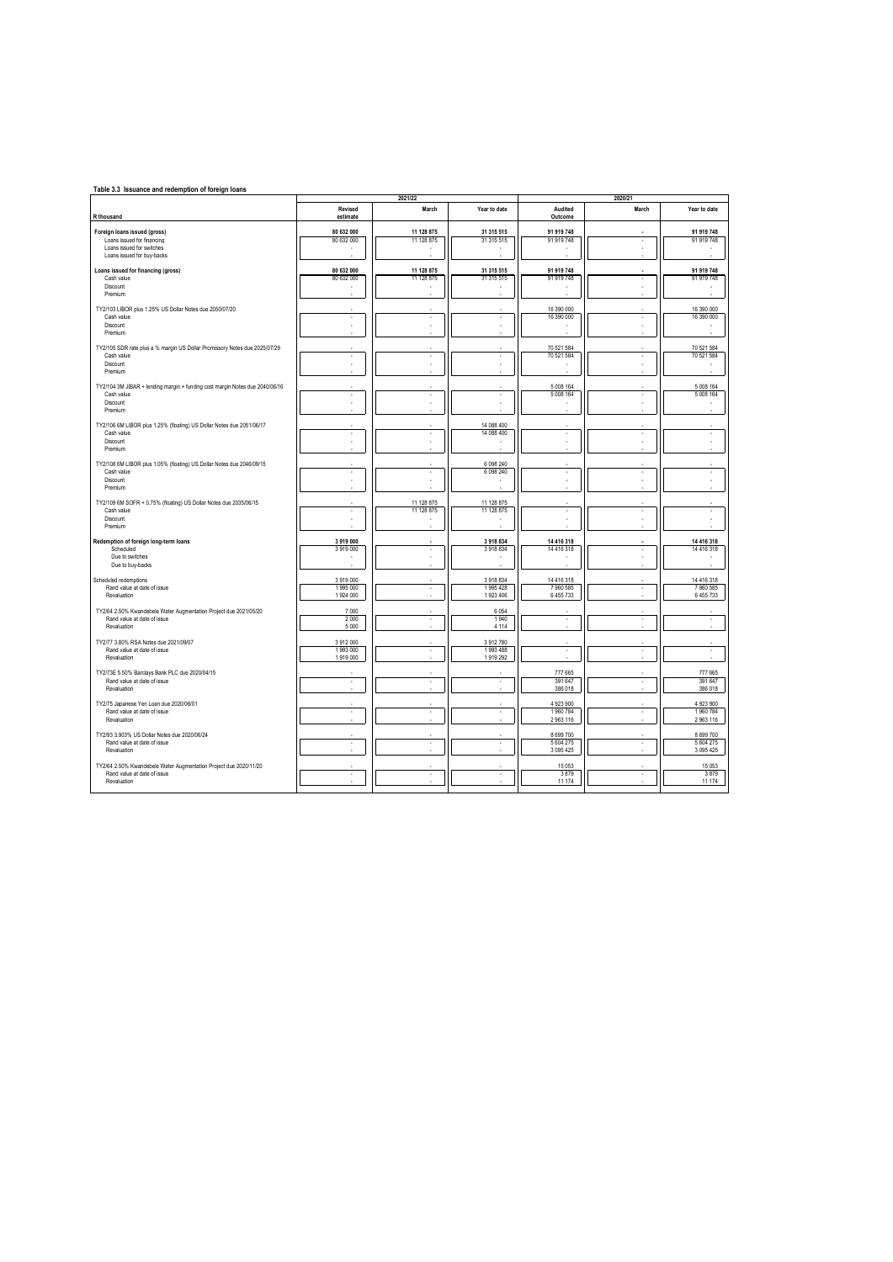| Table 3.3 Issuance and redemption of foreign loans                                               |                          | 2021/22                  |                          |                            | 2020/21                  |                          |
|--------------------------------------------------------------------------------------------------|--------------------------|--------------------------|--------------------------|----------------------------|--------------------------|--------------------------|
| R thousand                                                                                       | Revised<br>estimate      | March                    | Year to date             | Audited<br>Outcome         | March                    | Year to date             |
| Foreign loans issued (gross)                                                                     | 80 632 000               | 11 128 875               | 31 315 515               | 91 919 748                 |                          | 91 919 748               |
| Loans issued for financing                                                                       | 80 632 000               | 11 128 875               | 31 315 515               | 91 919 748                 | ٠                        | 91 919 748               |
| Loans issued for switches<br>Loans issued for buy-backs                                          |                          |                          |                          |                            |                          |                          |
| Loans issued for financing (gross)                                                               | 80 632 000               | 11 128 875               | 31 315 515               | 91 919 748                 |                          | 91 919 748               |
| Cash value                                                                                       | 80 632 000               | 11 128 875               | 31 315 515               | 91 919 748                 |                          | 91 919 748               |
| Discount                                                                                         |                          |                          |                          |                            |                          |                          |
| Premium                                                                                          |                          |                          |                          |                            |                          |                          |
| TY2/103 LIBOR plus 1.25% US Dollar Notes due 2050/07/20                                          |                          |                          |                          | 16 390 000                 |                          | 16 390 000               |
| Cash value<br>Discount                                                                           | à,                       | i,                       | ä,                       | 16 390 000                 | ä,                       | 16 390 000               |
| Premium                                                                                          |                          |                          |                          | ٠                          |                          |                          |
| TY2/105 SDR rate plus a % margin US Dollar Promissory Notes due 2025/07/29                       |                          |                          |                          | 70 521 584                 |                          | 70 521 584               |
| Cash value                                                                                       |                          | i,                       | i,                       | 70 521 584                 |                          | 70 521 584               |
| Discount<br>Premium                                                                              |                          |                          |                          |                            |                          |                          |
| TY2/104 3M JIBAR + lending margin + funding cost margin Notes due 2040/06/16                     |                          |                          |                          | 5 008 164                  |                          | 5 008 164                |
| Cash value                                                                                       | à,                       | ×,                       | ٠                        | 5 008 164                  | ٠                        | 5 008 164                |
| Discount                                                                                         |                          |                          |                          |                            |                          |                          |
| Premium                                                                                          |                          |                          |                          |                            |                          |                          |
| TY2/106 6M LIBOR plus 1.25% (floating) US Dollar Notes due 2051/06/17<br>Cash value              |                          |                          | 14 088 400<br>14 088 400 |                            |                          |                          |
| Discount                                                                                         |                          | ٠                        |                          | ٠                          |                          |                          |
| Premium                                                                                          |                          |                          |                          |                            |                          |                          |
| TY2/108 6M LIBOR plus 1.05% (floating) US Dollar Notes due 2046/09/15                            |                          |                          | 6 098 240                |                            |                          |                          |
| Cash value                                                                                       | ٠                        | $\cdot$                  | 6 0 9 8 2 4 0            | ٠                          | ٠                        |                          |
| Discount<br>Premium                                                                              |                          | i,                       | ٠                        | ٠                          |                          |                          |
| TY2/109 6M SOFR + 0.75% (floating) US Dollar Notes due 2035/06/15                                |                          | 11 128 875               | 11 128 875               |                            |                          |                          |
| Cash value                                                                                       | ٠                        | 11 128 875               | 11 128 875               | ٠                          | $\overline{\phantom{a}}$ |                          |
| Discount<br>Premium                                                                              |                          | ×.                       | ٠                        |                            |                          |                          |
|                                                                                                  |                          | ×.                       |                          |                            |                          |                          |
| Redemption of foreign long-term loans<br>Scheduled                                               | 3919000<br>3919000       | ÷.                       | 3918834<br>3918834       | 14 416 318<br>14 4 16 3 18 |                          | 14 416 318<br>14 416 318 |
| Due to switches                                                                                  |                          | ÷.                       |                          |                            |                          |                          |
| Due to buy-backs                                                                                 |                          |                          |                          |                            |                          |                          |
| Scheduled redemptions                                                                            | 3919000                  |                          | 3918834                  | 14 416 318                 |                          | 14 416 318               |
| Rand value at date of issue<br>Revaluation                                                       | 1995000<br>1924 000      | ×,                       | 1995 428<br>1923 406     | 7 960 585<br>6455733       | ×,                       | 7960585<br>6 455 733     |
|                                                                                                  |                          |                          |                          |                            |                          |                          |
| TY2/64 2.50% Kwandebele Water Augmentation Project due 2021/05/20<br>Rand value at date of issue | 7 0 0 0<br>2000          | i,                       | 6 0 5 4<br>1940          | ×,                         |                          |                          |
| Revaluation                                                                                      | 5 0 0 0                  |                          | 4 1 1 4                  |                            |                          |                          |
| TY2/77 3.80% RSA Notes due 2021/09/07                                                            | 3 912 000                |                          | 3912780                  |                            |                          |                          |
| Rand value at date of issue                                                                      | 1993000                  | ÷.                       | 1993488                  | ÷.                         |                          | ÷.                       |
| Revaluation                                                                                      | 1919000                  |                          | 1919 292                 |                            |                          |                          |
| TY2/73E 5.50% Barclays Bank PLC due 2020/04/15                                                   |                          |                          |                          | 777 665                    |                          | 777 665                  |
| Rand value at date of issue<br>Revaluation                                                       | ٠                        | ٠                        | ×,                       | 391 647<br>386 018         |                          | 391 647<br>386 018       |
| TY2/75 Japanese Yen Loan due 2020/06/01                                                          |                          |                          |                          | 4 923 900                  |                          | 4 923 900                |
| Rand value at date of issue                                                                      |                          |                          | ä,                       | 1960784                    |                          | 1960784                  |
| Revaluation                                                                                      |                          |                          |                          | 2963116                    |                          | 2963116                  |
| TY2/93 3.903% US Dollar Notes due 2020/06/24                                                     |                          |                          |                          | 8 6 9 7 0 0                |                          | 8 699 700                |
| Rand value at date of issue                                                                      |                          |                          | ä,                       | 5 604 275                  |                          | 5 604 275                |
| Revaluation                                                                                      |                          |                          |                          | 3 0 9 5 4 2 5              |                          | 3 095 425                |
| TY2/64 2.50% Kwandebele Water Augmentation Project due 2020/11/20<br>Rand value at date of issue | $\overline{\phantom{a}}$ | $\overline{\phantom{a}}$ | ÷.                       | 15 0 53<br>3879            | $\overline{\phantom{a}}$ | 15 053<br>3879           |
| Revaluation                                                                                      |                          |                          |                          | 11 174                     |                          | 11 174                   |
|                                                                                                  |                          |                          |                          |                            |                          |                          |